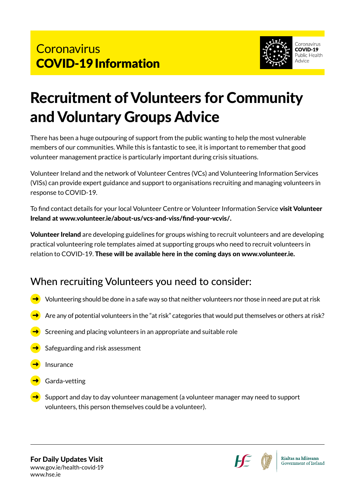

# Recruitment of Volunteers for Community and Voluntary Groups Advice

There has been a huge outpouring of support from the public wanting to help the most vulnerable members of our communities. While this is fantastic to see, it is important to remember that good volunteer management practice is particularly important during crisis situations.

Volunteer Ireland and the network of Volunteer Centres (VCs) and Volunteering Information Services (VISs) can provide expert guidance and support to organisations recruiting and managing volunteers in response to COVID-19.

To find contact details for your local Volunteer Centre or Volunteer Information Service visit Volunteer Ireland at www.volunteer.ie/about-us/vcs-and-viss/find-your-vcvis/.

Volunteer Ireland are developing guidelines for groups wishing to recruit volunteers and are developing practical volunteering role templates aimed at supporting groups who need to recruit volunteers in relation to COVID-19. These will be available here in the coming days on www.volunteer.ie.

### When recruiting Volunteers you need to consider:

- Volunteering should be done in a safe way so that neither volunteers nor those in need are put at risk
- Are any of potential volunteers in the "at risk" categories that would put themselves or others at risk?
- Screening and placing volunteers in an appropriate and suitable role
- Safeguarding and risk assessment
- Insurance
- Garda-vetting
- Support and day to day volunteer management (a volunteer manager may need to support volunteers, this person themselves could be a volunteer).